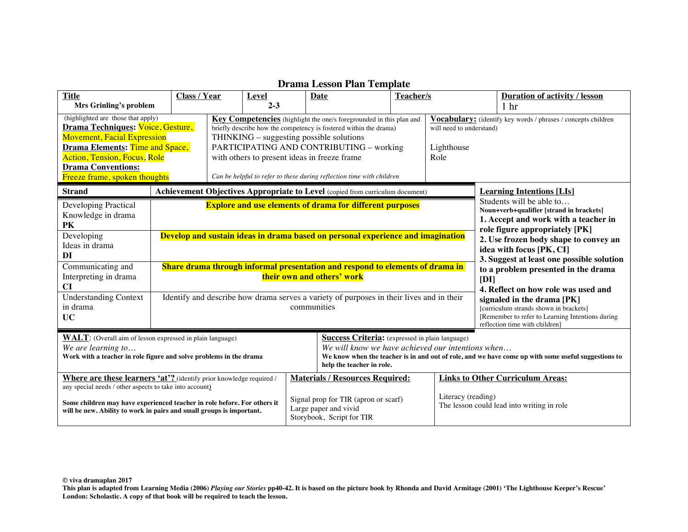| <b>Title</b>                                                                                                                                                                                                                                                                    | Class / Year | <b>Level</b>                                                                                        | Date                                                                                                                                                                                                                                                                                                                                                          | Teacher/s |                                                |      | <b>Duration of activity / lesson</b>                                                                                                                                                                                                                                                                                                                                         |
|---------------------------------------------------------------------------------------------------------------------------------------------------------------------------------------------------------------------------------------------------------------------------------|--------------|-----------------------------------------------------------------------------------------------------|---------------------------------------------------------------------------------------------------------------------------------------------------------------------------------------------------------------------------------------------------------------------------------------------------------------------------------------------------------------|-----------|------------------------------------------------|------|------------------------------------------------------------------------------------------------------------------------------------------------------------------------------------------------------------------------------------------------------------------------------------------------------------------------------------------------------------------------------|
| Mrs Grinling's problem<br>(highlighted are those that apply)<br>Drama Techniques: Voice, Gesture,<br><b>Movement, Facial Expression</b><br><b>Drama Elements: Time and Space,</b><br>Action, Tension, Focus, Role<br><b>Drama Conventions:</b><br>Freeze frame, spoken thoughts |              | $2 - 3$<br>THINKING – suggesting possible solutions<br>with others to present ideas in freeze frame | Key Competencies (highlight the one/s foregrounded in this plan and<br>briefly describe how the competency is fostered within the drama)<br>PARTICIPATING AND CONTRIBUTING - working<br>Can be helpful to refer to these during reflection time with children                                                                                                 |           | will need to understand)<br>Lighthouse<br>Role |      | 1 <sub>hr</sub><br>Vocabulary: (identify key words / phrases / concepts children                                                                                                                                                                                                                                                                                             |
| <b>Strand</b>                                                                                                                                                                                                                                                                   |              |                                                                                                     | Achievement Objectives Appropriate to Level (copied from curriculum document)                                                                                                                                                                                                                                                                                 |           |                                                |      | <b>Learning Intentions [LIs]</b>                                                                                                                                                                                                                                                                                                                                             |
| Developing Practical<br>Knowledge in drama<br><b>PK</b><br>Developing<br>Ideas in drama<br>DI<br>Communicating and<br>Interpreting in drama<br>CI<br><b>Understanding Context</b>                                                                                               |              |                                                                                                     | <b>Explore and use elements of drama for different purposes</b><br>Develop and sustain ideas in drama based on personal experience and imagination<br>Share drama through informal presentation and respond to elements of drama in<br>their own and others' work<br>Identify and describe how drama serves a variety of purposes in their lives and in their |           |                                                | [DI] | Students will be able to<br>Noun+verb+qualifier [strand in brackets]<br>1. Accept and work with a teacher in<br>role figure appropriately [PK]<br>2. Use frozen body shape to convey an<br>idea with focus [PK, CI]<br>3. Suggest at least one possible solution<br>to a problem presented in the drama<br>4. Reflect on how role was used and<br>signaled in the drama [PK] |
| in drama<br><b>UC</b>                                                                                                                                                                                                                                                           |              |                                                                                                     | communities                                                                                                                                                                                                                                                                                                                                                   |           |                                                |      | [curriculum strands shown in brackets]<br>[Remember to refer to Learning Intentions during]<br>reflection time with children]                                                                                                                                                                                                                                                |
| <b>WALT:</b> (Overall aim of lesson expressed in plain language)<br>We are learning to<br>Work with a teacher in role figure and solve problems in the drama                                                                                                                    |              |                                                                                                     | <b>Success Criteria:</b> (expressed in plain language)<br>We will know we have achieved our intentions when<br>help the teacher in role.                                                                                                                                                                                                                      |           |                                                |      | We know when the teacher is in and out of role, and we have come up with some useful suggestions to                                                                                                                                                                                                                                                                          |
| <b>Where are these learners 'at'?</b> (identify prior knowledge required /<br>any special needs / other aspects to take into account)                                                                                                                                           |              |                                                                                                     | <b>Materials / Resources Required:</b>                                                                                                                                                                                                                                                                                                                        |           |                                                |      | <b>Links to Other Curriculum Areas:</b>                                                                                                                                                                                                                                                                                                                                      |
| Some children may have experienced teacher in role before. For others it<br>will be new. Ability to work in pairs and small groups is important.                                                                                                                                |              |                                                                                                     | Signal prop for TIR (apron or scarf)<br>Large paper and vivid<br>Storybook, Script for TIR                                                                                                                                                                                                                                                                    |           | Literacy (reading)                             |      | The lesson could lead into writing in role                                                                                                                                                                                                                                                                                                                                   |

## **Drama Lesson Plan Template**

**© viva dramaplan 2017**

**This plan is adapted from Learning Media (2006)** *Playing our Stories* **pp40-42. It is based on the picture book by Rhonda and David Armitage (2001) 'The Lighthouse Keeper's Rescue' London: Scholastic. A copy of that book will be required to teach the lesson.**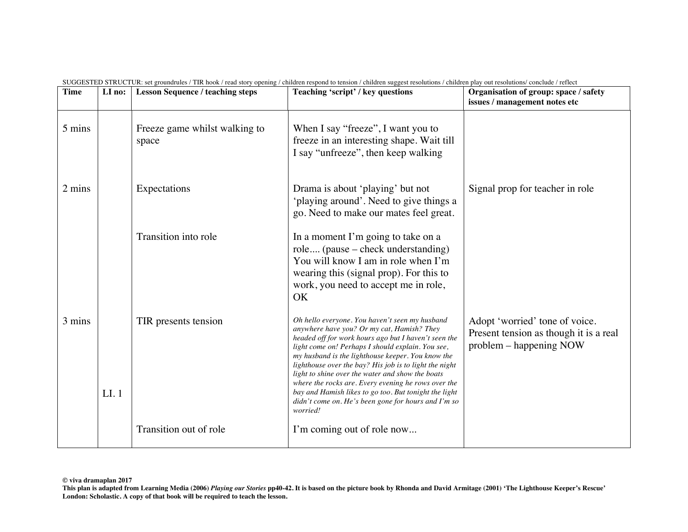| <b>Time</b> | LI no: | <b>Lesson Sequence / teaching steps</b> | Teaching 'script' / key questions                                                                                                                                                                                                                                                                                                                                                                                                                                                                                                                   | Organisation of group: space / safety<br>issues / management notes etc                              |
|-------------|--------|-----------------------------------------|-----------------------------------------------------------------------------------------------------------------------------------------------------------------------------------------------------------------------------------------------------------------------------------------------------------------------------------------------------------------------------------------------------------------------------------------------------------------------------------------------------------------------------------------------------|-----------------------------------------------------------------------------------------------------|
| 5 mins      |        | Freeze game whilst walking to<br>space  | When I say "freeze", I want you to<br>freeze in an interesting shape. Wait till<br>I say "unfreeze", then keep walking                                                                                                                                                                                                                                                                                                                                                                                                                              |                                                                                                     |
| 2 mins      |        | Expectations                            | Drama is about 'playing' but not<br>'playing around'. Need to give things a<br>go. Need to make our mates feel great.                                                                                                                                                                                                                                                                                                                                                                                                                               | Signal prop for teacher in role                                                                     |
|             |        | Transition into role                    | In a moment I'm going to take on a<br>role (pause – check understanding)<br>You will know I am in role when I'm<br>wearing this (signal prop). For this to<br>work, you need to accept me in role,<br>OK                                                                                                                                                                                                                                                                                                                                            |                                                                                                     |
| 3 mins      | LI.1   | TIR presents tension                    | Oh hello everyone. You haven't seen my husband<br>anywhere have you? Or my cat, Hamish? They<br>headed off for work hours ago but I haven't seen the<br>light come on! Perhaps I should explain. You see,<br>my husband is the lighthouse keeper. You know the<br>lighthouse over the bay? His job is to light the night<br>light to shine over the water and show the boats<br>where the rocks are. Every evening he rows over the<br>bay and Hamish likes to go too. But tonight the light<br>didn't come on. He's been gone for hours and I'm so | Adopt 'worried' tone of voice.<br>Present tension as though it is a real<br>problem – happening NOW |
|             |        | Transition out of role                  | worried!<br>I'm coming out of role now                                                                                                                                                                                                                                                                                                                                                                                                                                                                                                              |                                                                                                     |

SUGGESTED STRUCTUR: set groundrules / TIR hook / read story opening / children respond to tension / children suggest resolutions / children play out resolutions/ conclude / reflect

**This plan is adapted from Learning Media (2006)** *Playing our Stories* **pp40-42. It is based on the picture book by Rhonda and David Armitage (2001) 'The Lighthouse Keeper's Rescue'** London: Scholastic. A copy of that book will be required to teach the lesson.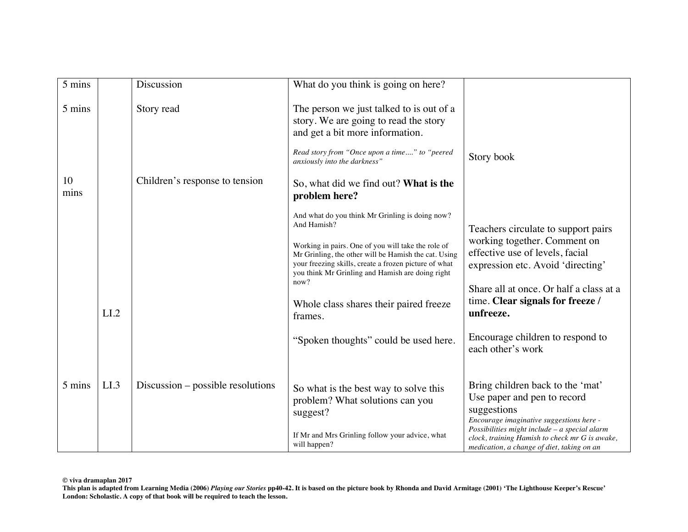| 5 mins       |      | Discussion                                   | What do you think is going on here?                                                                                                                                                                                                            |                                                                                                                                                                             |
|--------------|------|----------------------------------------------|------------------------------------------------------------------------------------------------------------------------------------------------------------------------------------------------------------------------------------------------|-----------------------------------------------------------------------------------------------------------------------------------------------------------------------------|
| 5 mins<br>10 |      | Story read<br>Children's response to tension | The person we just talked to is out of a<br>story. We are going to read the story<br>and get a bit more information.<br>Read story from "Once upon a time" to "peered<br>anxiously into the darkness"<br>So, what did we find out? What is the | Story book                                                                                                                                                                  |
| mins         |      |                                              | problem here?                                                                                                                                                                                                                                  |                                                                                                                                                                             |
|              |      |                                              | And what do you think Mr Grinling is doing now?<br>And Hamish?                                                                                                                                                                                 | Teachers circulate to support pairs                                                                                                                                         |
|              |      |                                              | Working in pairs. One of you will take the role of<br>Mr Grinling, the other will be Hamish the cat. Using<br>your freezing skills, create a frozen picture of what<br>you think Mr Grinling and Hamish are doing right                        | working together. Comment on<br>effective use of levels, facial<br>expression etc. Avoid 'directing'                                                                        |
|              | LI.2 |                                              | now?<br>Whole class shares their paired freeze<br>frames.                                                                                                                                                                                      | Share all at once. Or half a class at a<br>time. Clear signals for freeze /<br>unfreeze.                                                                                    |
|              |      |                                              | "Spoken thoughts" could be used here.                                                                                                                                                                                                          | Encourage children to respond to<br>each other's work                                                                                                                       |
| 5 mins       | LI.3 | Discussion – possible resolutions            | So what is the best way to solve this<br>problem? What solutions can you<br>suggest?                                                                                                                                                           | Bring children back to the 'mat'<br>Use paper and pen to record<br>suggestions<br>Encourage imaginative suggestions here -<br>Possibilities might include - a special alarm |
|              |      |                                              | If Mr and Mrs Grinling follow your advice, what<br>will happen?                                                                                                                                                                                | clock, training Hamish to check mr G is awake,<br>medication, a change of diet, taking on an                                                                                |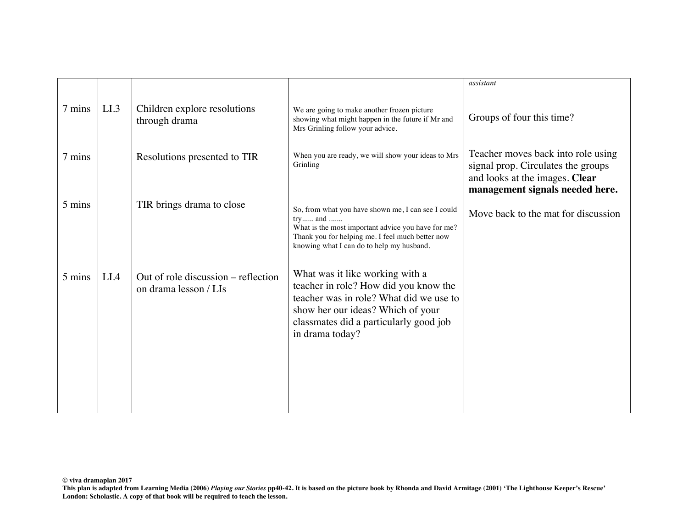|        |      |                                                              |                                                                                                                                                                                                                       | assistant                                                                                                                                     |
|--------|------|--------------------------------------------------------------|-----------------------------------------------------------------------------------------------------------------------------------------------------------------------------------------------------------------------|-----------------------------------------------------------------------------------------------------------------------------------------------|
|        |      |                                                              |                                                                                                                                                                                                                       |                                                                                                                                               |
| 7 mins | LI.3 | Children explore resolutions<br>through drama                | We are going to make another frozen picture<br>showing what might happen in the future if Mr and<br>Mrs Grinling follow your advice.                                                                                  | Groups of four this time?                                                                                                                     |
| 7 mins |      | Resolutions presented to TIR                                 | When you are ready, we will show your ideas to Mrs<br>Grinling                                                                                                                                                        | Teacher moves back into role using<br>signal prop. Circulates the groups<br>and looks at the images. Clear<br>management signals needed here. |
| 5 mins |      | TIR brings drama to close                                    | So, from what you have shown me, I can see I could<br>try and<br>What is the most important advice you have for me?<br>Thank you for helping me. I feel much better now<br>knowing what I can do to help my husband.  | Move back to the mat for discussion                                                                                                           |
| 5 mins | LI.4 | Out of role discussion – reflection<br>on drama lesson / LIs | What was it like working with a<br>teacher in role? How did you know the<br>teacher was in role? What did we use to<br>show her our ideas? Which of your<br>classmates did a particularly good job<br>in drama today? |                                                                                                                                               |

**This plan is adapted from Learning Media (2006)** *Playing our Stories* **pp40-42. It is based on the picture book by Rhonda and David Armitage (2001) 'The Lighthouse Keeper's Rescue' London: Scholastic. A copy of that book will be required to teach the lesson.**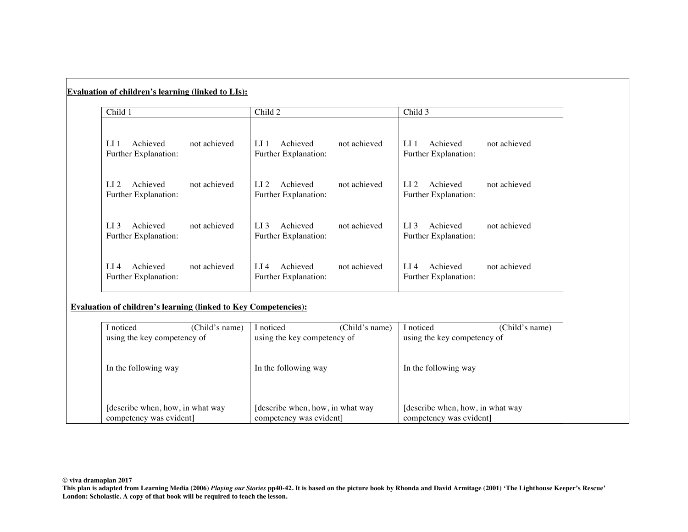| Child 1                                               |              | Child 2                                               |              | Child 3                                               |              |
|-------------------------------------------------------|--------------|-------------------------------------------------------|--------------|-------------------------------------------------------|--------------|
| Achieved<br>LI 1<br>Further Explanation:              | not achieved | LI 1<br>Achieved<br>Further Explanation:              | not achieved | Achieved<br>LI 1<br>Further Explanation:              | not achieved |
| Achieved<br>LI $2$<br>Further Explanation:            | not achieved | Achieved<br>LI 2<br>Further Explanation:              | not achieved | Achieved<br>LI $2$<br>Further Explanation:            | not achieved |
| Achieved<br>LI 3<br>Further Explanation:              | not achieved | Achieved<br>LI 3<br>Further Explanation:              | not achieved | Achieved<br>LI 3<br>Further Explanation:              | not achieved |
| LI $\overline{4}$<br>Achieved<br>Further Explanation: | not achieved | LI $\overline{4}$<br>Achieved<br>Further Explanation: | not achieved | Achieved<br>LI $\overline{4}$<br>Further Explanation: | not achieved |

## **Evaluation of children's learning (linked to Key Competencies):**

**Evaluation of children's learning (linked to LIs):**

| I noticed                       | (Child's name) | I noticed                         | (Child's name) | I noticed                        | (Child's name) |
|---------------------------------|----------------|-----------------------------------|----------------|----------------------------------|----------------|
| using the key competency of     |                | using the key competency of       |                | using the key competency of      |                |
|                                 |                |                                   |                |                                  |                |
| In the following way            |                | In the following way              |                | In the following way             |                |
|                                 |                |                                   |                |                                  |                |
|                                 |                |                                   |                |                                  |                |
| describe when, how, in what way |                | [describe when, how, in what way] |                | [describe when, how, in what way |                |
| competency was evident          |                | competency was evident]           |                | competency was evident           |                |